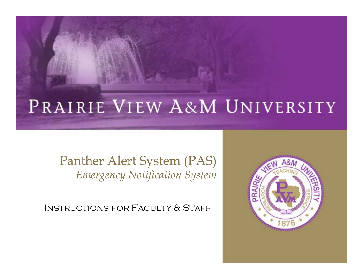### PRAIRIE VIEW A&M UNIVERSITY

#### Panther Alert System (PAS) *Emergency Notification System*

Instructions for Faculty & Staff

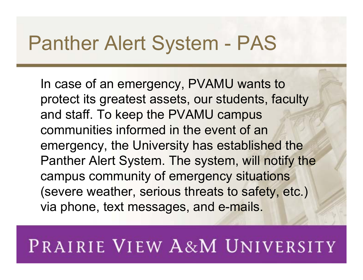In case of an emergency, PVAMU wants to protect its greatest assets, our students, faculty and staff. To keep the PVAMU campus communities informed in the event of an emergency, the University has established the Panther Alert System. The system, will notify the campus community of emergency situations (severe weather, serious threats to safety, etc.) via phone, text messages, and e-mails.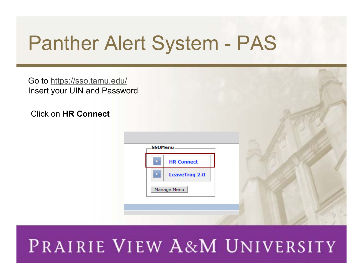**SSOMenu** 

Manage Menu

Go to https://sso.tamu.edu/ Insert your UIN and Password

Click on **HR Connect**



**HR Connect** 

**LeaveTrag 2.0**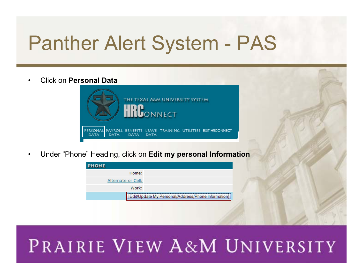• Click on **Personal Data**



• Under "Phone" Heading, click on **Edit my personal Information**

| <b>PHONE.</b>      |                                                   |
|--------------------|---------------------------------------------------|
| Home:              |                                                   |
| Alternate or Cell: |                                                   |
| Work:              |                                                   |
|                    | Edit/Update My Personal/Address/Phone Information |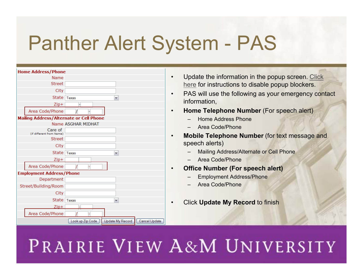| <b>Home Address/Phone</b>                      |                                                       |  |
|------------------------------------------------|-------------------------------------------------------|--|
| Name                                           |                                                       |  |
| <b>Street</b>                                  |                                                       |  |
| City                                           |                                                       |  |
| <b>State</b>                                   | Texas<br>$\checkmark$                                 |  |
| $Zip+$                                         |                                                       |  |
| Area Code/Phone                                |                                                       |  |
| <b>Mailing Address/Alternate or Cell Phone</b> |                                                       |  |
|                                                | Name ASGHAR MIDHAT                                    |  |
| Care of<br>(if different from Name)            |                                                       |  |
| <b>Street</b>                                  |                                                       |  |
| City                                           |                                                       |  |
| State                                          | Texas<br>$\check{~}$                                  |  |
| $Zip+$                                         |                                                       |  |
| Area Code/Phone                                |                                                       |  |
| <b>Employment Address/Phone</b>                |                                                       |  |
| Department                                     |                                                       |  |
| Street/Building/Room                           |                                                       |  |
| City                                           |                                                       |  |
| State                                          | Texas<br>$\checkmark$                                 |  |
| $Zip+$                                         |                                                       |  |
| Area Code/Phone                                |                                                       |  |
|                                                | Look up Zip Code<br>Update My Record<br>Cancel Update |  |

- Update the information in the popup screen. Click here for instructions to disable popup blockers.
- PAS will use the following as your emergency contact information,
- **Home Telephone Number** (For speech alert)
	- Home Address Phone
	- Area Code/Phone
- **Mobile Telephone Number** (for text message and speech alerts)
	- Mailing Address/Alternate or Cell Phone
	- Area Code/Phone
- **Office Number (For speech alert)**
	- Employment Address/Phone
	- Area Code/Phone
- Click **Update My Record** to finish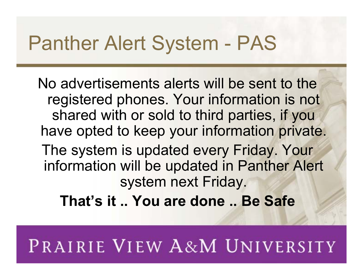No advertisements alerts will be sent to the registered phones. Your information is not shared with or sold to third parties, if you have opted to keep your information private. The system is updated every Friday. Your information will be updated in Panther Alert system next Friday.

**That's it .. You are done .. Be Safe**